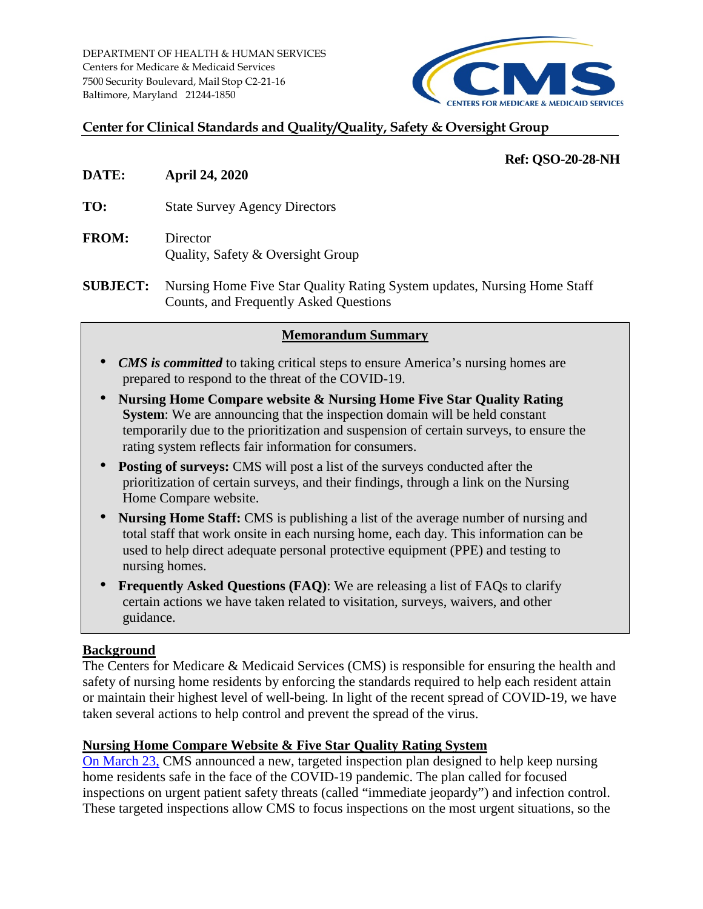

## **Center for Clinical Standards and Quality/Quality, Safety & Oversight Group**

### **Ref: QSO-20-28-NH**

- **DATE: April 24, 2020**
- **TO:** State Survey Agency Directors
- **FROM:** Director Quality, Safety & Oversight Group
- **SUBJECT:** Nursing Home Five Star Quality Rating System updates, Nursing Home Staff Counts, and Frequently Asked Questions

### **Memorandum Summary**

- *CMS is committed* to taking critical steps to ensure America's nursing homes are prepared to respond to the threat of the COVID-19.
- **Nursing Home Compare website & Nursing Home Five Star Quality Rating System:** We are announcing that the inspection domain will be held constant temporarily due to the prioritization and suspension of certain surveys, to ensure the rating system reflects fair information for consumers.
- **Posting of surveys:** CMS will post a list of the surveys conducted after the prioritization of certain surveys, and their findings, through a link on the Nursing Home Compare website.
- **Nursing Home Staff:** CMS is publishing a list of the average number of nursing and total staff that work onsite in each nursing home, each day. This information can be used to help direct adequate personal protective equipment (PPE) and testing to nursing homes.
- **Frequently Asked Questions (FAQ)**: We are releasing a list of FAQs to clarify certain actions we have taken related to visitation, surveys, waivers, and other guidance.

### **Background**

The Centers for Medicare & Medicaid Services (CMS) is responsible for ensuring the health and safety of nursing home residents by enforcing the standards required to help each resident attain or maintain their highest level of well-being. In light of the recent spread of COVID-19, we have taken several actions to help control and prevent the spread of the virus.

## **Nursing Home Compare Website & Five Star Quality Rating System**

On March 23, [CMS announced](https://www.cms.gov/newsroom/press-releases/cms-announces-findings-kirkland-nursing-home-and-new-targeted-plan-healthcare-facility-inspections) a new, targeted inspection plan designed to help keep nursing home residents safe in the face of the COVID-19 pandemic. The plan called for focused inspections on urgent patient safety threats (called "immediate jeopardy") and infection control. These targeted inspections allow CMS to focus inspections on the most urgent situations, so the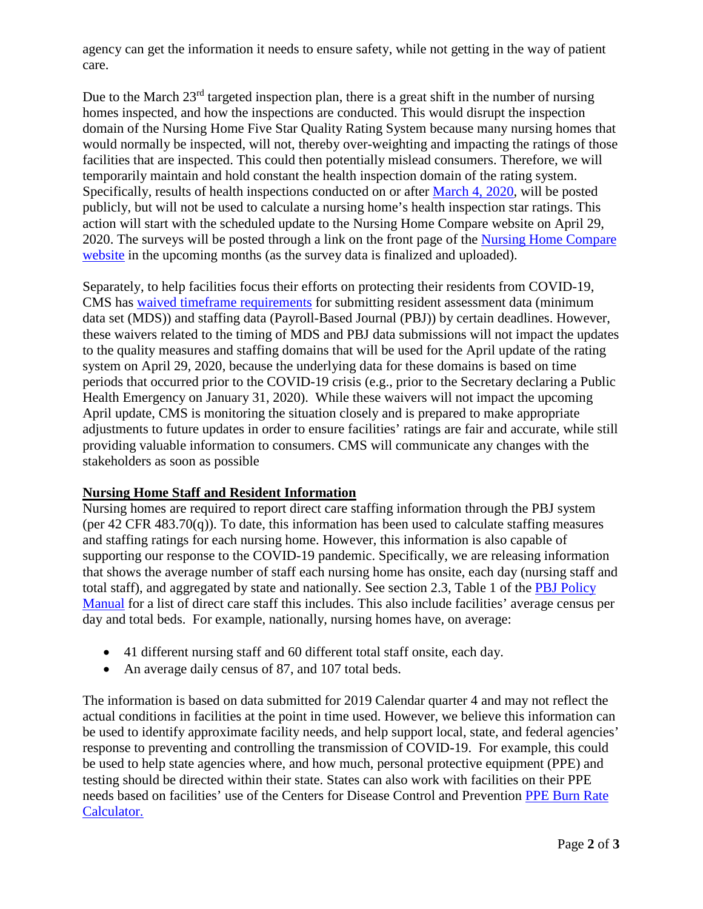agency can get the information it needs to ensure safety, while not getting in the way of patient care.

Due to the March  $23<sup>rd</sup>$  targeted inspection plan, there is a great shift in the number of nursing homes inspected, and how the inspections are conducted. This would disrupt the inspection domain of the Nursing Home Five Star Quality Rating System because many nursing homes that would normally be inspected, will not, thereby over-weighting and impacting the ratings of those facilities that are inspected. This could then potentially mislead consumers. Therefore, we will temporarily maintain and hold constant the health inspection domain of the rating system. Specifically, results of health inspections conducted on or after [March 4, 2020,](https://www.cms.gov/files/document/qso-20-12-all.pdf) will be posted publicly, but will not be used to calculate a nursing home's health inspection star ratings. This action will start with the scheduled update to the Nursing Home Compare website on April 29, 2020. The surveys will be posted through a link on the front page of the Nursing Home Compare [website](https://www.medicare.gov/nursinghomecompare/search.html) in the upcoming months (as the survey data is finalized and uploaded).

Separately, to help facilities focus their efforts on protecting their residents from COVID-19, CMS has [waived timeframe requirements](https://www.cms.gov/files/document/summary-covid-19-emergency-declaration-waivers.pdf) for submitting resident assessment data (minimum data set (MDS)) and staffing data (Payroll-Based Journal (PBJ)) by certain deadlines. However, these waivers related to the timing of MDS and PBJ data submissions will not impact the updates to the quality measures and staffing domains that will be used for the April update of the rating system on April 29, 2020, because the underlying data for these domains is based on time periods that occurred prior to the COVID-19 crisis (e.g., prior to the Secretary declaring a Public Health Emergency on January 31, 2020). While these waivers will not impact the upcoming April update, CMS is monitoring the situation closely and is prepared to make appropriate adjustments to future updates in order to ensure facilities' ratings are fair and accurate, while still providing valuable information to consumers. CMS will communicate any changes with the stakeholders as soon as possible

## **Nursing Home Staff and Resident Information**

Nursing homes are required to report direct care staffing information through the PBJ system (per 42 CFR 483.70(q)). To date, this information has been used to calculate staffing measures and staffing ratings for each nursing home. However, this information is also capable of supporting our response to the COVID-19 pandemic. Specifically, we are releasing information that shows the average number of staff each nursing home has onsite, each day (nursing staff and total staff), and aggregated by state and nationally. See section 2.3, Table 1 of the [PBJ Policy](https://www.cms.gov/Medicare/Quality-Initiatives-Patient-Assessment-Instruments/NursingHomeQualityInits/Downloads/PBJ-Policy-Manual-Final-V25-11-19-2018.pdf)  [Manual](https://www.cms.gov/Medicare/Quality-Initiatives-Patient-Assessment-Instruments/NursingHomeQualityInits/Downloads/PBJ-Policy-Manual-Final-V25-11-19-2018.pdf) for a list of direct care staff this includes. This also include facilities' average census per day and total beds. For example, nationally, nursing homes have, on average:

- 41 different nursing staff and 60 different total staff onsite, each day.
- An average daily census of 87, and 107 total beds.

The information is based on data submitted for 2019 Calendar quarter 4 and may not reflect the actual conditions in facilities at the point in time used. However, we believe this information can be used to identify approximate facility needs, and help support local, state, and federal agencies' response to preventing and controlling the transmission of COVID-19. For example, this could be used to help state agencies where, and how much, personal protective equipment (PPE) and testing should be directed within their state. States can also work with facilities on their PPE needs based on facilities' use of the Centers for Disease Control and Prevention [PPE Burn Rate](https://www.cdc.gov/coronavirus/2019-ncov/hcp/ppe-strategy/burn-calculator.html)  [Calculator.](https://www.cdc.gov/coronavirus/2019-ncov/hcp/ppe-strategy/burn-calculator.html)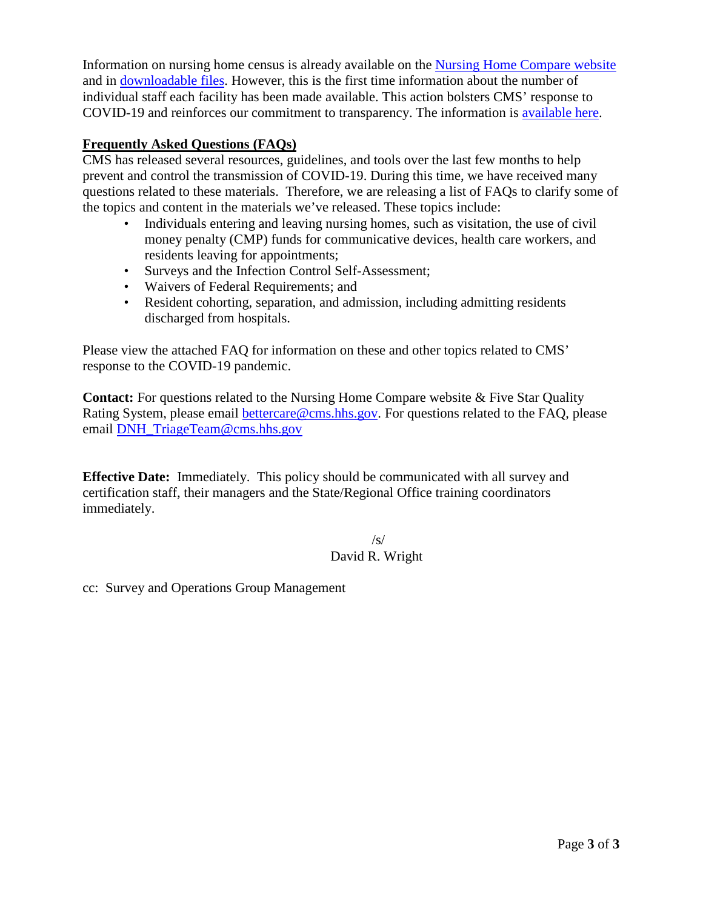Information on nursing home census is already available on the [Nursing Home Compare website](https://www.medicare.gov/nursinghomecompare/search.html) and in [downloadable files.](https://data.medicare.gov/data/nursing-home-compare) However, this is the first time information about the number of individual staff each facility has been made available. This action bolsters CMS' response to COVID-19 and reinforces our commitment to transparency. The information is [available here.](https://www.cms.gov/files/document/nursing-home-staff-and-resident-counts.xlsx)

## **Frequently Asked Questions (FAQs)**

CMS has released several resources, guidelines, and tools over the last few months to help prevent and control the transmission of COVID-19. During this time, we have received many questions related to these materials. Therefore, we are releasing a list of FAQs to clarify some of the topics and content in the materials we've released. These topics include:

- Individuals entering and leaving nursing homes, such as visitation, the use of civil money penalty (CMP) funds for communicative devices, health care workers, and residents leaving for appointments;
- Surveys and the Infection Control Self-Assessment;
- Waivers of Federal Requirements; and
- Resident cohorting, separation, and admission, including admitting residents discharged from hospitals.

Please view the attached FAQ for information on these and other topics related to CMS' response to the COVID-19 pandemic.

**Contact:** For questions related to the Nursing Home Compare website & Five Star Quality Rating System, please email [bettercare@cms.hhs.gov.](mailto:bettercare@cms.hhs.gov) For questions related to the FAQ, please email [DNH\\_TriageTeam@cms.hhs.gov](mailto:DNH_TriageTeam@cms.hhs.gov)

**Effective Date:** Immediately. This policy should be communicated with all survey and certification staff, their managers and the State/Regional Office training coordinators immediately.

> $\sqrt{s}$ David R. Wright

cc: Survey and Operations Group Management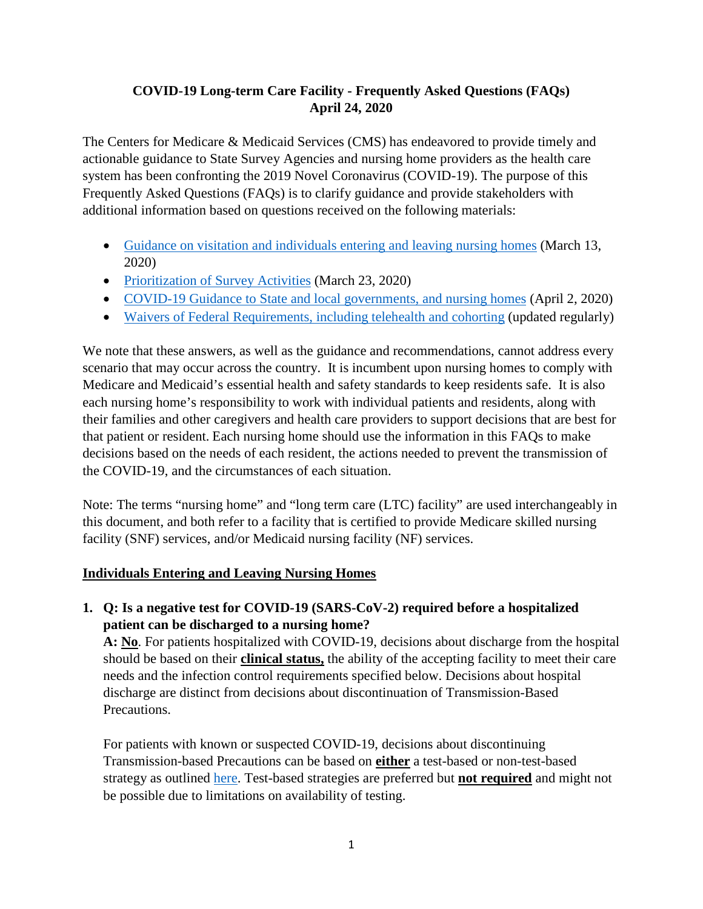# **COVID-19 Long-term Care Facility - Frequently Asked Questions (FAQs) April 24, 2020**

The Centers for Medicare & Medicaid Services (CMS) has endeavored to provide timely and actionable guidance to State Survey Agencies and nursing home providers as the health care system has been confronting the 2019 Novel Coronavirus (COVID-19). The purpose of this Frequently Asked Questions (FAQs) is to clarify guidance and provide stakeholders with additional information based on questions received on the following materials:

- [Guidance on visitation and individuals entering and leaving nursing homes](https://www.cms.gov/files/document/qso-20-14-nh-revised.pdf) (March 13, 2020)
- [Prioritization of Survey Activities](https://www.cms.gov/files/document/qso-20-20-all.pdf) (March 23, 2020)
- [COVID-19 Guidance to State and local governments, and nursing homes](https://www.cms.gov/files/document/4220-covid-19-long-term-care-facility-guidance.pdf) (April 2, 2020)
- [Waivers of Federal Requirements, including](https://www.cms.gov/files/document/summary-covid-19-emergency-declaration-waivers.pdf) telehealth and cohorting (updated regularly)

We note that these answers, as well as the guidance and recommendations, cannot address every scenario that may occur across the country. It is incumbent upon nursing homes to comply with Medicare and Medicaid's essential health and safety standards to keep residents safe. It is also each nursing home's responsibility to work with individual patients and residents, along with their families and other caregivers and health care providers to support decisions that are best for that patient or resident. Each nursing home should use the information in this FAQs to make decisions based on the needs of each resident, the actions needed to prevent the transmission of the COVID-19, and the circumstances of each situation.

Note: The terms "nursing home" and "long term care (LTC) facility" are used interchangeably in this document, and both refer to a facility that is certified to provide Medicare skilled nursing facility (SNF) services, and/or Medicaid nursing facility (NF) services.

## **Individuals Entering and Leaving Nursing Homes**

**1. Q: Is a negative test for COVID-19 (SARS-CoV-2) required before a hospitalized patient can be discharged to a nursing home?**

**A: No**. For patients hospitalized with COVID-19, decisions about discharge from the hospital should be based on their **clinical status,** the ability of the accepting facility to meet their care needs and the infection control requirements specified below. Decisions about hospital discharge are distinct from decisions about discontinuation of Transmission-Based Precautions.

For patients with known or suspected COVID-19, decisions about discontinuing Transmission-based Precautions can be based on **either** a test-based or non-test-based strategy as outlined [here.](https://www.cdc.gov/coronavirus/2019-ncov/hcp/disposition-hospitalized-patients.html) Test-based strategies are preferred but **not required** and might not be possible due to limitations on availability of testing.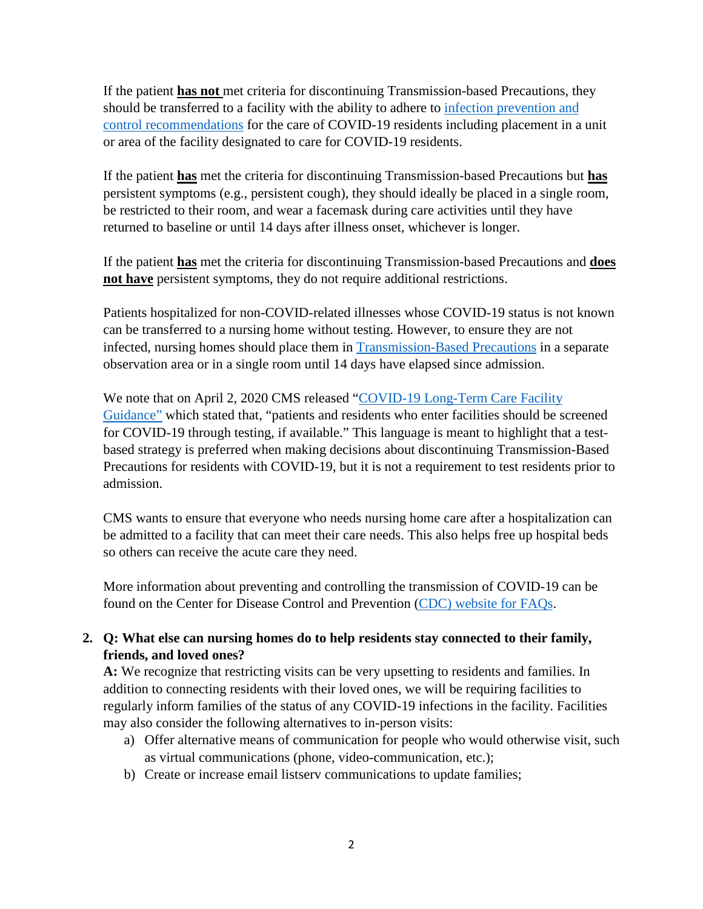If the patient **has not** met criteria for discontinuing Transmission-based Precautions, they should be transferred to a facility with the ability to adhere to [infection prevention and](https://www.cdc.gov/coronavirus/2019-ncov/hcp/long-term-care.html)  [control recommendations](https://www.cdc.gov/coronavirus/2019-ncov/hcp/long-term-care.html) for the care of COVID-19 residents including placement in a unit or area of the facility designated to care for COVID-19 residents.

If the patient **has** met the criteria for discontinuing Transmission-based Precautions but **has**  persistent symptoms (e.g., persistent cough), they should ideally be placed in a single room, be restricted to their room, and wear a facemask during care activities until they have returned to baseline or until 14 days after illness onset, whichever is longer.

If the patient **has** met the criteria for discontinuing Transmission-based Precautions and **does not have** persistent symptoms, they do not require additional restrictions.

Patients hospitalized for non-COVID-related illnesses whose COVID-19 status is not known can be transferred to a nursing home without testing. However, to ensure they are not infected, nursing homes should place them in [Transmission-Based Precautions](https://www.cdc.gov/coronavirus/2019-ncov/hcp/long-term-care.html) in a separate observation area or in a single room until 14 days have elapsed since admission.

We note that on April 2, 2020 CMS released ["COVID-19 Long-Term Care Facility](https://www.cms.gov/files/document/4220-covid-19-long-term-care-facility-guidance.pdf)  [Guidance"](https://www.cms.gov/files/document/4220-covid-19-long-term-care-facility-guidance.pdf) which stated that, "patients and residents who enter facilities should be screened for COVID-19 through testing, if available." This language is meant to highlight that a testbased strategy is preferred when making decisions about discontinuing Transmission-Based Precautions for residents with COVID-19, but it is not a requirement to test residents prior to admission.

CMS wants to ensure that everyone who needs nursing home care after a hospitalization can be admitted to a facility that can meet their care needs. This also helps free up hospital beds so others can receive the acute care they need.

More information about preventing and controlling the transmission of COVID-19 can be found on the Center for Disease Control and Prevention (CDC) [website for FAQs.](https://www.cdc.gov/coronavirus/2019-ncov/hcp/infection-control-faq.html)

## **2. Q: What else can nursing homes do to help residents stay connected to their family, friends, and loved ones?**

**A:** We recognize that restricting visits can be very upsetting to residents and families. In addition to connecting residents with their loved ones, we will be requiring facilities to regularly inform families of the status of any COVID-19 infections in the facility. Facilities may also consider the following alternatives to in-person visits:

- a) Offer alternative means of communication for people who would otherwise visit, such as virtual communications (phone, video-communication, etc.);
- b) Create or increase email listserv communications to update families;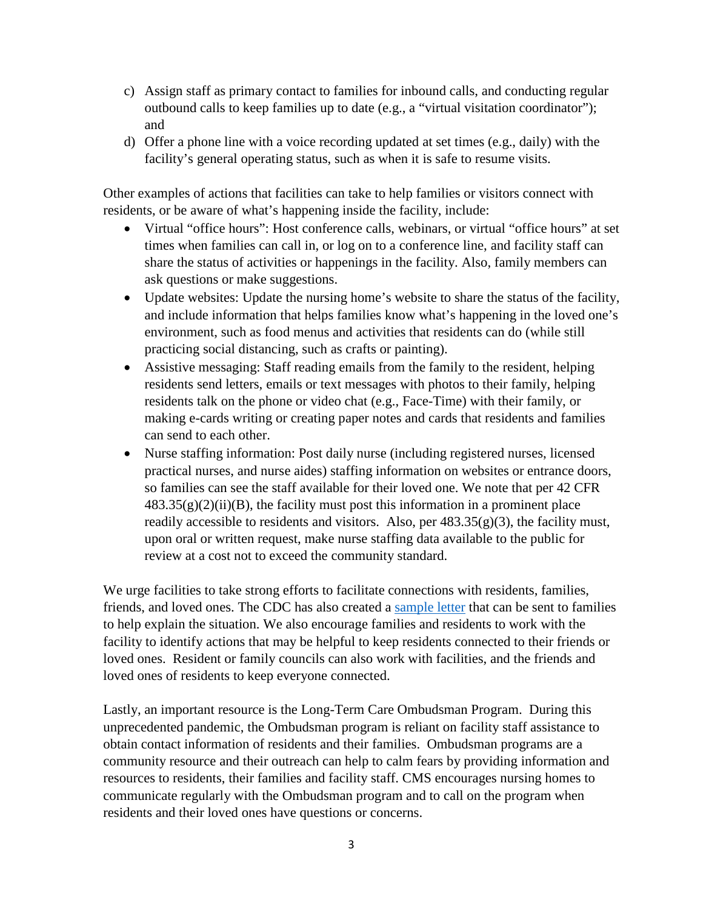- c) Assign staff as primary contact to families for inbound calls, and conducting regular outbound calls to keep families up to date (e.g., a "virtual visitation coordinator"); and
- d) Offer a phone line with a voice recording updated at set times (e.g., daily) with the facility's general operating status, such as when it is safe to resume visits.

Other examples of actions that facilities can take to help families or visitors connect with residents, or be aware of what's happening inside the facility, include:

- Virtual "office hours": Host conference calls, webinars, or virtual "office hours" at set times when families can call in, or log on to a conference line, and facility staff can share the status of activities or happenings in the facility. Also, family members can ask questions or make suggestions.
- Update websites: Update the nursing home's website to share the status of the facility, and include information that helps families know what's happening in the loved one's environment, such as food menus and activities that residents can do (while still practicing social distancing, such as crafts or painting).
- Assistive messaging: Staff reading emails from the family to the resident, helping residents send letters, emails or text messages with photos to their family, helping residents talk on the phone or video chat (e.g., Face-Time) with their family, or making e-cards writing or creating paper notes and cards that residents and families can send to each other.
- Nurse staffing information: Post daily nurse (including registered nurses, licensed practical nurses, and nurse aides) staffing information on websites or entrance doors, so families can see the staff available for their loved one. We note that per 42 CFR  $483.35(g)(2)(ii)(B)$ , the facility must post this information in a prominent place readily accessible to residents and visitors. Also, per  $483.35(g)(3)$ , the facility must, upon oral or written request, make nurse staffing data available to the public for review at a cost not to exceed the community standard.

We urge facilities to take strong efforts to facilitate connections with residents, families, friends, and loved ones. The CDC has also created a [sample letter](https://www.cdc.gov/coronavirus/2019-ncov/downloads/healthcare-facilities/Long-Term-Care-letter.pdf) that can be sent to families to help explain the situation. We also encourage families and residents to work with the facility to identify actions that may be helpful to keep residents connected to their friends or loved ones. Resident or family councils can also work with facilities, and the friends and loved ones of residents to keep everyone connected.

Lastly, an important resource is the Long-Term Care Ombudsman Program. During this unprecedented pandemic, the Ombudsman program is reliant on facility staff assistance to obtain contact information of residents and their families. Ombudsman programs are a community resource and their outreach can help to calm fears by providing information and resources to residents, their families and facility staff. CMS encourages nursing homes to communicate regularly with the Ombudsman program and to call on the program when residents and their loved ones have questions or concerns.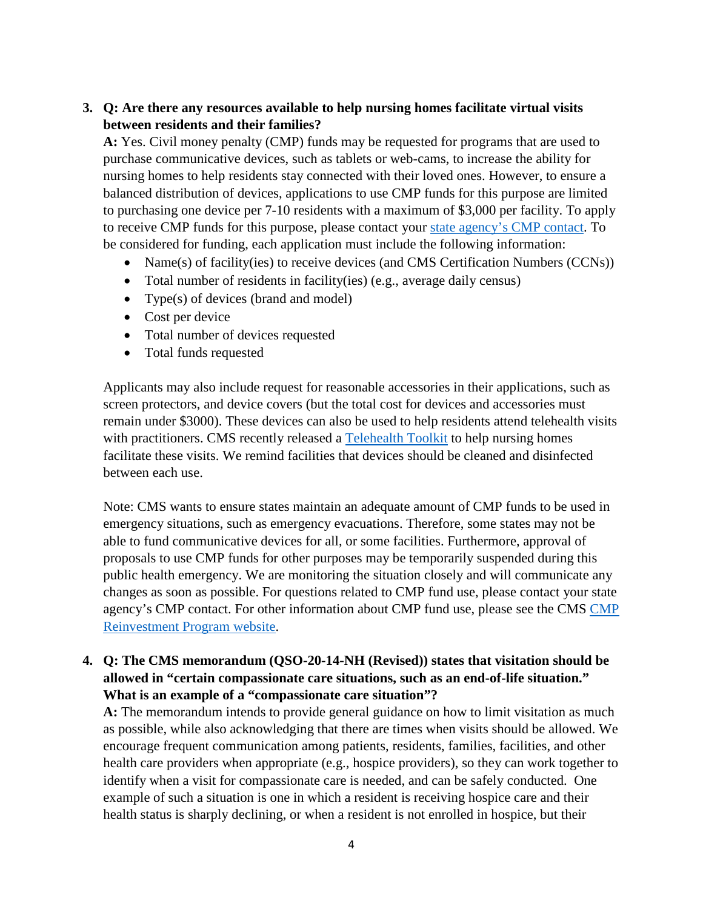# **3. Q: Are there any resources available to help nursing homes facilitate virtual visits between residents and their families?**

**A:** Yes. Civil money penalty (CMP) funds may be requested for programs that are used to purchase communicative devices, such as tablets or web-cams, to increase the ability for nursing homes to help residents stay connected with their loved ones. However, to ensure a balanced distribution of devices, applications to use CMP funds for this purpose are limited to purchasing one device per 7-10 residents with a maximum of \$3,000 per facility. To apply to receive CMP funds for this purpose, please contact your [state agency's CMP contact.](https://www.cms.gov/files/document/cmp-contacts-state-12-20-2019.pdf) To be considered for funding, each application must include the following information:

- Name(s) of facility(ies) to receive devices (and CMS Certification Numbers (CCNs))
- Total number of residents in facility(ies) (e.g., average daily census)
- Type(s) of devices (brand and model)
- Cost per device
- Total number of devices requested
- Total funds requested

Applicants may also include request for reasonable accessories in their applications, such as screen protectors, and device covers (but the total cost for devices and accessories must remain under \$3000). These devices can also be used to help residents attend telehealth visits with practitioners. CMS recently released a [Telehealth Toolkit](https://www.cms.gov/files/document/covid-19-nursing-home-telehealth-toolkit.pdf) to help nursing homes facilitate these visits. We remind facilities that devices should be cleaned and disinfected between each use.

Note: CMS wants to ensure states maintain an adequate amount of CMP funds to be used in emergency situations, such as emergency evacuations. Therefore, some states may not be able to fund communicative devices for all, or some facilities. Furthermore, approval of proposals to use CMP funds for other purposes may be temporarily suspended during this public health emergency. We are monitoring the situation closely and will communicate any changes as soon as possible. For questions related to CMP fund use, please contact your state agency's CMP contact. For other information about CMP fund use, please see the CMS [CMP](https://www.cms.gov/Medicare/Provider-Enrollment-and-Certification/SurveyCertificationGenInfo/LTC-CMP-Reinvestment)  [Reinvestment Program website.](https://www.cms.gov/Medicare/Provider-Enrollment-and-Certification/SurveyCertificationGenInfo/LTC-CMP-Reinvestment)

### **4. Q: The CMS memorandum (QSO-20-14-NH (Revised)) states that visitation should be allowed in "certain compassionate care situations, such as an end-of-life situation." What is an example of a "compassionate care situation"?**

**A:** The memorandum intends to provide general guidance on how to limit visitation as much as possible, while also acknowledging that there are times when visits should be allowed. We encourage frequent communication among patients, residents, families, facilities, and other health care providers when appropriate (e.g., hospice providers), so they can work together to identify when a visit for compassionate care is needed, and can be safely conducted. One example of such a situation is one in which a resident is receiving hospice care and their health status is sharply declining, or when a resident is not enrolled in hospice, but their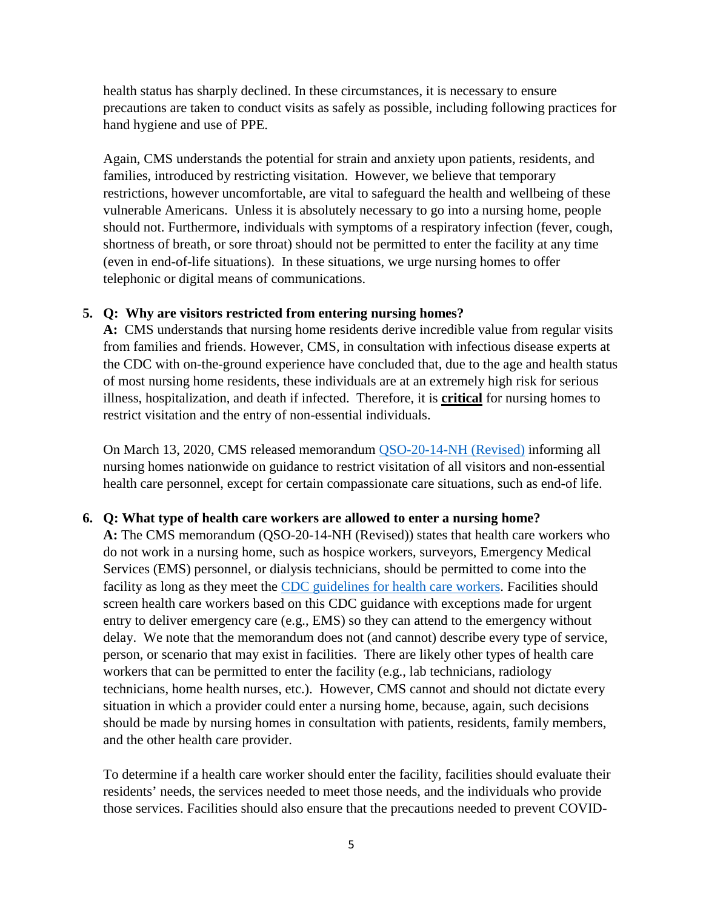health status has sharply declined. In these circumstances, it is necessary to ensure precautions are taken to conduct visits as safely as possible, including following practices for hand hygiene and use of PPE.

Again, CMS understands the potential for strain and anxiety upon patients, residents, and families, introduced by restricting visitation. However, we believe that temporary restrictions, however uncomfortable, are vital to safeguard the health and wellbeing of these vulnerable Americans. Unless it is absolutely necessary to go into a nursing home, people should not. Furthermore, individuals with symptoms of a respiratory infection (fever, cough, shortness of breath, or sore throat) should not be permitted to enter the facility at any time (even in end-of-life situations). In these situations, we urge nursing homes to offer telephonic or digital means of communications.

#### **5. Q: Why are visitors restricted from entering nursing homes?**

**A:** CMS understands that nursing home residents derive incredible value from regular visits from families and friends. However, CMS, in consultation with infectious disease experts at the CDC with on-the-ground experience have concluded that, due to the age and health status of most nursing home residents, these individuals are at an extremely high risk for serious illness, hospitalization, and death if infected. Therefore, it is **critical** for nursing homes to restrict visitation and the entry of non-essential individuals.

On March 13, 2020, CMS released memorandum [QSO-20-14-NH \(Revised\)](https://www.cms.gov/files/document/qso-20-14-nh-revised.pdf) informing all nursing homes nationwide on guidance to restrict visitation of all visitors and non-essential health care personnel, except for certain compassionate care situations, such as end-of life.

### **6. Q: What type of health care workers are allowed to enter a nursing home?**

**A:** The CMS memorandum (QSO-20-14-NH (Revised)) states that health care workers who do not work in a nursing home, such as hospice workers, surveyors, Emergency Medical Services (EMS) personnel, or dialysis technicians, should be permitted to come into the facility as long as they meet the [CDC guidelines for health care](https://www.cdc.gov/coronavirus/2019-ncov/hcp/guidance-risk-assesment-hcp.html) workers. Facilities should screen health care workers based on this CDC guidance with exceptions made for urgent entry to deliver emergency care (e.g., EMS) so they can attend to the emergency without delay. We note that the memorandum does not (and cannot) describe every type of service, person, or scenario that may exist in facilities. There are likely other types of health care workers that can be permitted to enter the facility (e.g., lab technicians, radiology technicians, home health nurses, etc.). However, CMS cannot and should not dictate every situation in which a provider could enter a nursing home, because, again, such decisions should be made by nursing homes in consultation with patients, residents, family members, and the other health care provider.

To determine if a health care worker should enter the facility, facilities should evaluate their residents' needs, the services needed to meet those needs, and the individuals who provide those services. Facilities should also ensure that the precautions needed to prevent COVID-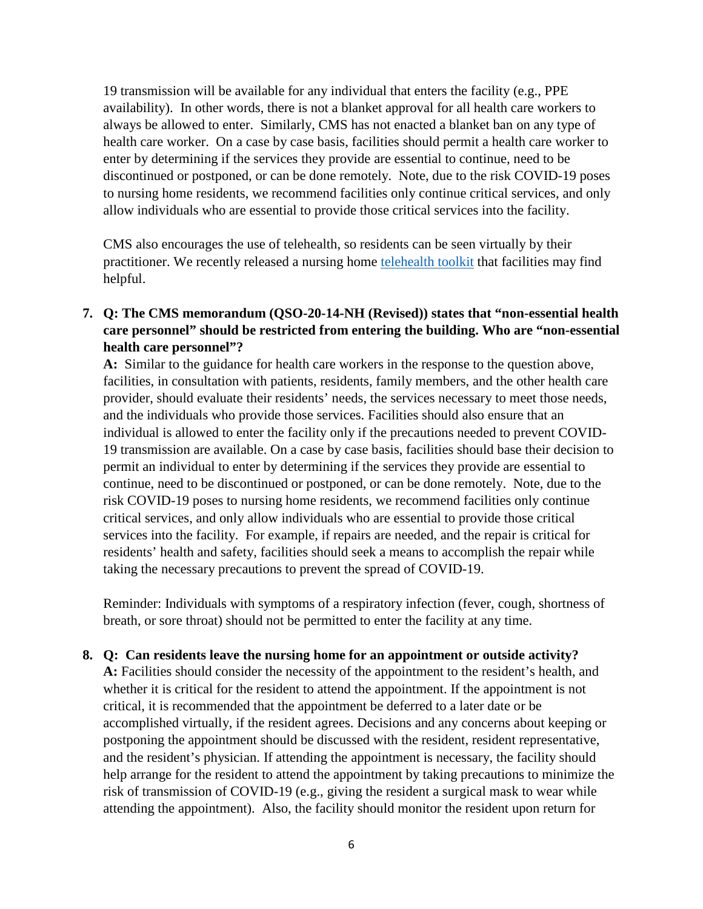19 transmission will be available for any individual that enters the facility (e.g., PPE availability). In other words, there is not a blanket approval for all health care workers to always be allowed to enter. Similarly, CMS has not enacted a blanket ban on any type of health care worker. On a case by case basis, facilities should permit a health care worker to enter by determining if the services they provide are essential to continue, need to be discontinued or postponed, or can be done remotely. Note, due to the risk COVID-19 poses to nursing home residents, we recommend facilities only continue critical services, and only allow individuals who are essential to provide those critical services into the facility.

CMS also encourages the use of telehealth, so residents can be seen virtually by their practitioner. We recently released a nursing home [telehealth toolkit](https://www.cms.gov/files/document/covid-19-nursing-home-telehealth-toolkit.pdf) that facilities may find helpful.

## **7. Q: The CMS memorandum (QSO-20-14-NH (Revised)) states that "non-essential health care personnel" should be restricted from entering the building. Who are "non-essential health care personnel"?**

**A:** Similar to the guidance for health care workers in the response to the question above, facilities, in consultation with patients, residents, family members, and the other health care provider, should evaluate their residents' needs, the services necessary to meet those needs, and the individuals who provide those services. Facilities should also ensure that an individual is allowed to enter the facility only if the precautions needed to prevent COVID-19 transmission are available. On a case by case basis, facilities should base their decision to permit an individual to enter by determining if the services they provide are essential to continue, need to be discontinued or postponed, or can be done remotely. Note, due to the risk COVID-19 poses to nursing home residents, we recommend facilities only continue critical services, and only allow individuals who are essential to provide those critical services into the facility. For example, if repairs are needed, and the repair is critical for residents' health and safety, facilities should seek a means to accomplish the repair while taking the necessary precautions to prevent the spread of COVID-19.

Reminder: Individuals with symptoms of a respiratory infection (fever, cough, shortness of breath, or sore throat) should not be permitted to enter the facility at any time.

### **8. Q: Can residents leave the nursing home for an appointment or outside activity?**

**A:** Facilities should consider the necessity of the appointment to the resident's health, and whether it is critical for the resident to attend the appointment. If the appointment is not critical, it is recommended that the appointment be deferred to a later date or be accomplished virtually, if the resident agrees. Decisions and any concerns about keeping or postponing the appointment should be discussed with the resident, resident representative, and the resident's physician. If attending the appointment is necessary, the facility should help arrange for the resident to attend the appointment by taking precautions to minimize the risk of transmission of COVID-19 (e.g., giving the resident a surgical mask to wear while attending the appointment). Also, the facility should monitor the resident upon return for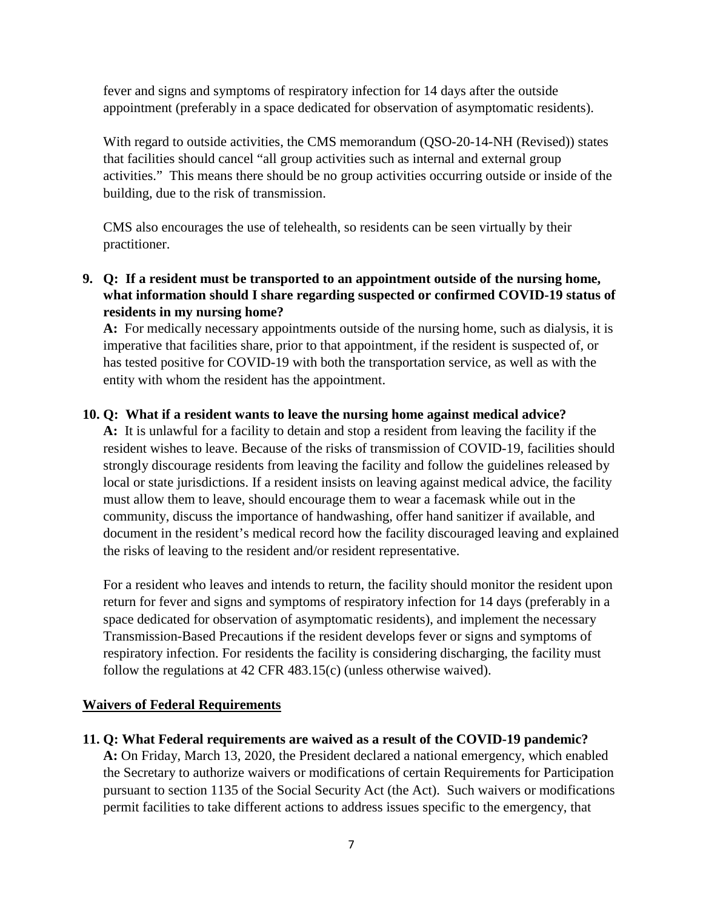fever and signs and symptoms of respiratory infection for 14 days after the outside appointment (preferably in a space dedicated for observation of asymptomatic residents).

With regard to outside activities, the CMS memorandum (QSO-20-14-NH (Revised)) states that facilities should cancel "all group activities such as internal and external group activities." This means there should be no group activities occurring outside or inside of the building, due to the risk of transmission.

CMS also encourages the use of telehealth, so residents can be seen virtually by their practitioner.

**9. Q: If a resident must be transported to an appointment outside of the nursing home, what information should I share regarding suspected or confirmed COVID-19 status of residents in my nursing home?**

**A:** For medically necessary appointments outside of the nursing home, such as dialysis, it is imperative that facilities share, prior to that appointment, if the resident is suspected of, or has tested positive for COVID-19 with both the transportation service, as well as with the entity with whom the resident has the appointment.

## **10. Q: What if a resident wants to leave the nursing home against medical advice?**

**A:** It is unlawful for a facility to detain and stop a resident from leaving the facility if the resident wishes to leave. Because of the risks of transmission of COVID-19, facilities should strongly discourage residents from leaving the facility and follow the guidelines released by local or state jurisdictions. If a resident insists on leaving against medical advice, the facility must allow them to leave, should encourage them to wear a facemask while out in the community, discuss the importance of handwashing, offer hand sanitizer if available, and document in the resident's medical record how the facility discouraged leaving and explained the risks of leaving to the resident and/or resident representative.

For a resident who leaves and intends to return, the facility should monitor the resident upon return for fever and signs and symptoms of respiratory infection for 14 days (preferably in a space dedicated for observation of asymptomatic residents), and implement the necessary Transmission-Based Precautions if the resident develops fever or signs and symptoms of respiratory infection. For residents the facility is considering discharging, the facility must follow the regulations at 42 CFR 483.15(c) (unless otherwise waived).

## **Waivers of Federal Requirements**

**11. Q: What Federal requirements are waived as a result of the COVID-19 pandemic?**

**A:** On Friday, March 13, 2020, the President declared a national emergency, which enabled the Secretary to authorize waivers or modifications of certain Requirements for Participation pursuant to section 1135 of the Social Security Act (the Act). Such waivers or modifications permit facilities to take different actions to address issues specific to the emergency, that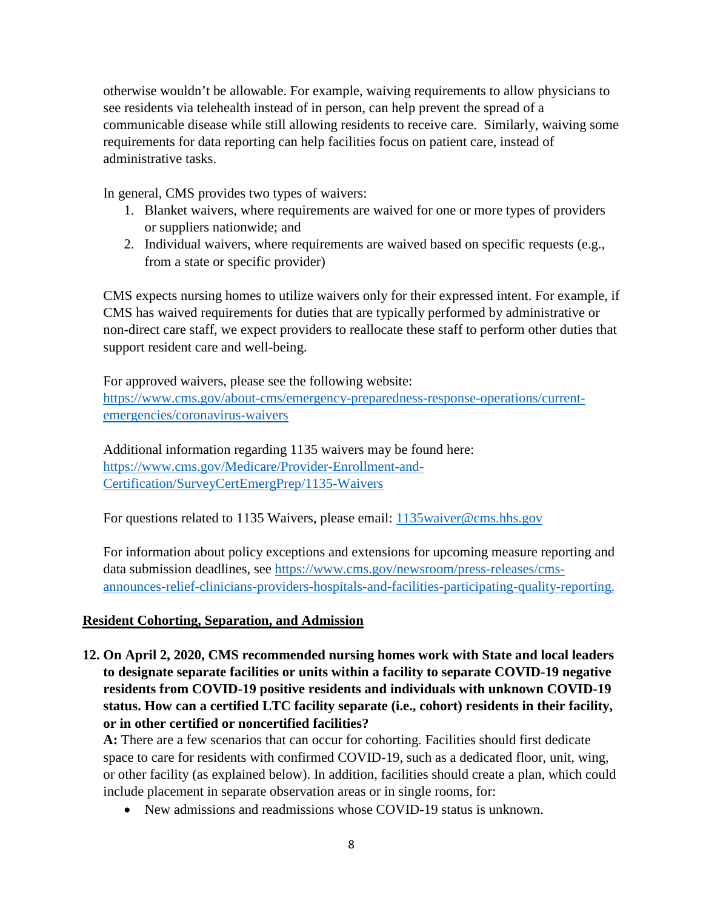otherwise wouldn't be allowable. For example, waiving requirements to allow physicians to see residents via telehealth instead of in person, can help prevent the spread of a communicable disease while still allowing residents to receive care. Similarly, waiving some requirements for data reporting can help facilities focus on patient care, instead of administrative tasks.

In general, CMS provides two types of waivers:

- 1. Blanket waivers, where requirements are waived for one or more types of providers or suppliers nationwide; and
- 2. Individual waivers, where requirements are waived based on specific requests (e.g., from a state or specific provider)

CMS expects nursing homes to utilize waivers only for their expressed intent. For example, if CMS has waived requirements for duties that are typically performed by administrative or non-direct care staff, we expect providers to reallocate these staff to perform other duties that support resident care and well-being.

For approved waivers, please see the following website: [https://www.cms.gov/about-cms/emergency-preparedness-response-operations/current](https://www.cms.gov/about-cms/emergency-preparedness-response-operations/current-emergencies/coronavirus-waivers)[emergencies/coronavirus-waivers](https://www.cms.gov/about-cms/emergency-preparedness-response-operations/current-emergencies/coronavirus-waivers)

Additional information regarding 1135 waivers may be found here: [https://www.cms.gov/Medicare/Provider-Enrollment-and-](https://www.cms.gov/Medicare/Provider-Enrollment-and-Certification/SurveyCertEmergPrep/1135-Waivers)[Certification/SurveyCertEmergPrep/1135-Waivers](https://www.cms.gov/Medicare/Provider-Enrollment-and-Certification/SurveyCertEmergPrep/1135-Waivers) 

For questions related to 1135 Waivers, please email: [1135waiver@cms.hhs.gov](mailto:1135waiver@cms.hhs.gov)

For information about policy exceptions and extensions for upcoming measure reporting and data submission deadlines, see [https://www.cms.gov/newsroom/press-releases/cms](https://www.cms.gov/newsroom/press-releases/cms-announces-relief-clinicians-providers-hospitals-and-facilities-participating-quality-reporting)[announces-relief-clinicians-providers-hospitals-and-facilities-participating-quality-reporting.](https://www.cms.gov/newsroom/press-releases/cms-announces-relief-clinicians-providers-hospitals-and-facilities-participating-quality-reporting)

### **Resident Cohorting, Separation, and Admission**

**12. On April 2, 2020, CMS recommended nursing homes work with State and local leaders to designate separate facilities or units within a facility to separate COVID-19 negative residents from COVID-19 positive residents and individuals with unknown COVID-19 status. How can a certified LTC facility separate (i.e., cohort) residents in their facility, or in other certified or noncertified facilities?**

**A:** There are a few scenarios that can occur for cohorting. Facilities should first dedicate space to care for residents with confirmed COVID-19, such as a dedicated floor, unit, wing, or other facility (as explained below). In addition, facilities should create a plan, which could include placement in separate observation areas or in single rooms, for:

• New admissions and readmissions whose COVID-19 status is unknown.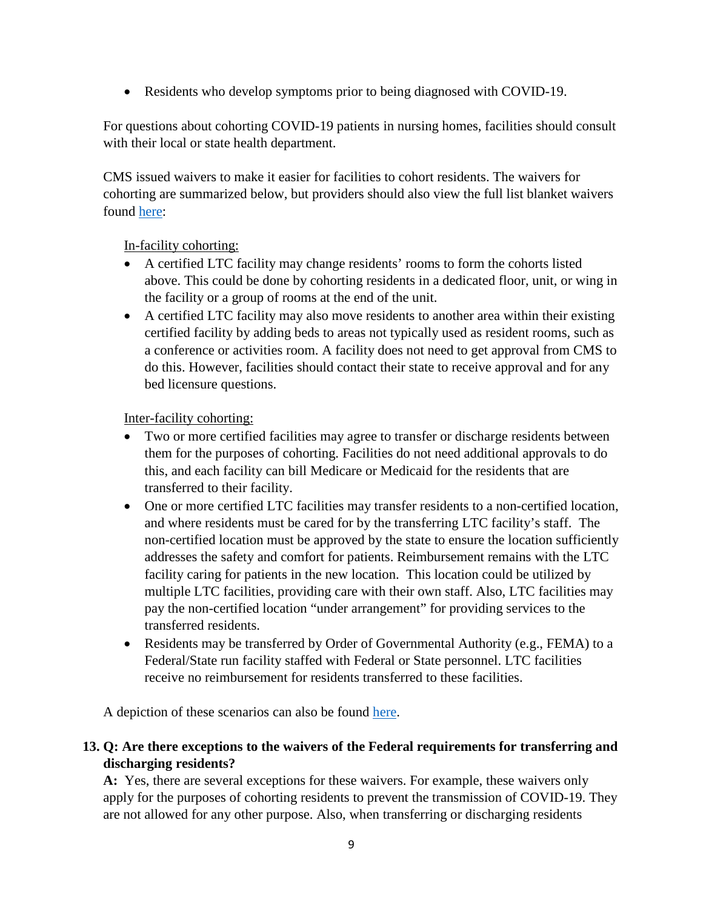• Residents who develop symptoms prior to being diagnosed with COVID-19.

For questions about cohorting COVID-19 patients in nursing homes, facilities should consult with their local or state health department.

CMS issued waivers to make it easier for facilities to cohort residents. The waivers for cohorting are summarized below, but providers should also view the full list blanket waivers found [here:](https://www.cms.gov/files/document/summary-covid-19-emergency-declaration-waivers.pdf)

## In-facility cohorting:

- A certified LTC facility may change residents' rooms to form the cohorts listed above. This could be done by cohorting residents in a dedicated floor, unit, or wing in the facility or a group of rooms at the end of the unit.
- A certified LTC facility may also move residents to another area within their existing certified facility by adding beds to areas not typically used as resident rooms, such as a conference or activities room. A facility does not need to get approval from CMS to do this. However, facilities should contact their state to receive approval and for any bed licensure questions.

Inter-facility cohorting:

- Two or more certified facilities may agree to transfer or discharge residents between them for the purposes of cohorting. Facilities do not need additional approvals to do this, and each facility can bill Medicare or Medicaid for the residents that are transferred to their facility.
- One or more certified LTC facilities may transfer residents to a non-certified location, and where residents must be cared for by the transferring LTC facility's staff. The non-certified location must be approved by the state to ensure the location sufficiently addresses the safety and comfort for patients. Reimbursement remains with the LTC facility caring for patients in the new location. This location could be utilized by multiple LTC facilities, providing care with their own staff. Also, LTC facilities may pay the non-certified location "under arrangement" for providing services to the transferred residents.
- Residents may be transferred by Order of Governmental Authority (e.g., FEMA) to a Federal/State run facility staffed with Federal or State personnel. LTC facilities receive no reimbursement for residents transferred to these facilities.

A depiction of these scenarios can also be found [here.](https://www.cms.gov/files/document/qso-20-25-nh.pdf)

# **13. Q: Are there exceptions to the waivers of the Federal requirements for transferring and discharging residents?**

**A:** Yes, there are several exceptions for these waivers. For example, these waivers only apply for the purposes of cohorting residents to prevent the transmission of COVID-19. They are not allowed for any other purpose. Also, when transferring or discharging residents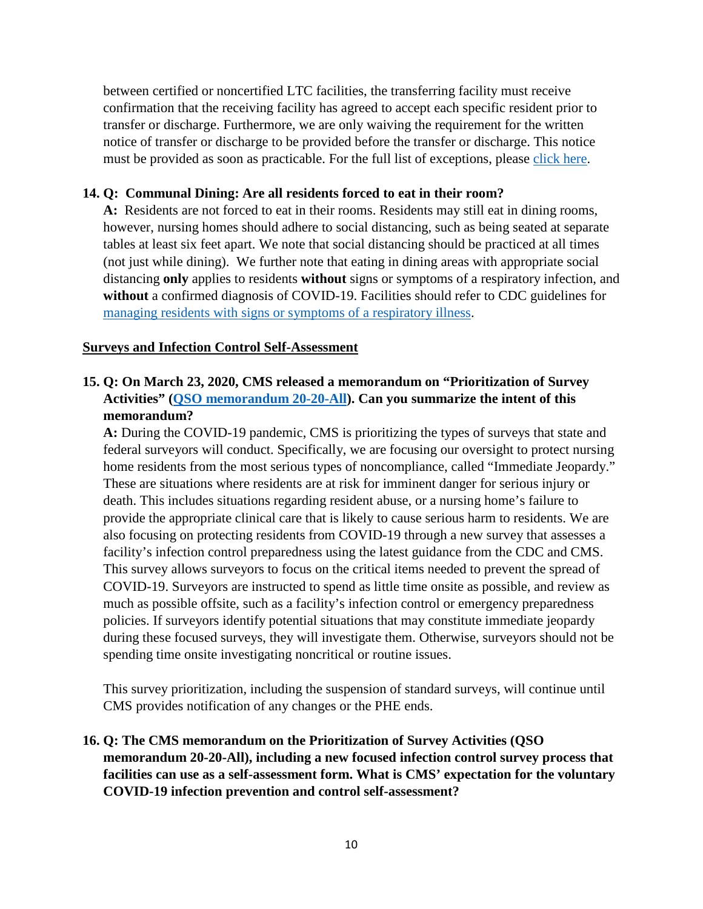between certified or noncertified LTC facilities, the transferring facility must receive confirmation that the receiving facility has agreed to accept each specific resident prior to transfer or discharge. Furthermore, we are only waiving the requirement for the written notice of transfer or discharge to be provided before the transfer or discharge. This notice must be provided as soon as practicable. For the full list of exceptions, please [click here.](https://www.cms.gov/files/document/summary-covid-19-emergency-declaration-waivers.pdf)

### **14. Q: Communal Dining: Are all residents forced to eat in their room?**

**A:** Residents are not forced to eat in their rooms. Residents may still eat in dining rooms, however, nursing homes should adhere to social distancing, such as being seated at separate tables at least six feet apart. We note that social distancing should be practiced at all times (not just while dining). We further note that eating in dining areas with appropriate social distancing **only** applies to residents **without** signs or symptoms of a respiratory infection, and **without** a confirmed diagnosis of COVID-19. Facilities should refer to CDC guidelines for [managing residents with signs or symptoms of a respiratory illness.](https://www.cdc.gov/coronavirus/2019-ncov/healthcare-facilities/prevent-spread-in-long-term-care-facilities.html)

### **Surveys and Infection Control Self-Assessment**

# **15. Q: On March 23, 2020, CMS released a memorandum on "Prioritization of Survey Activities" [\(QSO memorandum 20-20-All\)](https://www.cms.gov/files/document/qso-20-20-all.pdf). Can you summarize the intent of this memorandum?**

**A:** During the COVID-19 pandemic, CMS is prioritizing the types of surveys that state and federal surveyors will conduct. Specifically, we are focusing our oversight to protect nursing home residents from the most serious types of noncompliance, called "Immediate Jeopardy." These are situations where residents are at risk for imminent danger for serious injury or death. This includes situations regarding resident abuse, or a nursing home's failure to provide the appropriate clinical care that is likely to cause serious harm to residents. We are also focusing on protecting residents from COVID-19 through a new survey that assesses a facility's infection control preparedness using the latest guidance from the CDC and CMS. This survey allows surveyors to focus on the critical items needed to prevent the spread of COVID-19. Surveyors are instructed to spend as little time onsite as possible, and review as much as possible offsite, such as a facility's infection control or emergency preparedness policies. If surveyors identify potential situations that may constitute immediate jeopardy during these focused surveys, they will investigate them. Otherwise, surveyors should not be spending time onsite investigating noncritical or routine issues.

This survey prioritization, including the suspension of standard surveys, will continue until CMS provides notification of any changes or the PHE ends.

## **16. Q: The CMS memorandum on the Prioritization of Survey Activities (QSO memorandum 20-20-All), including a new focused infection control survey process that facilities can use as a self-assessment form. What is CMS' expectation for the voluntary COVID-19 infection prevention and control self-assessment?**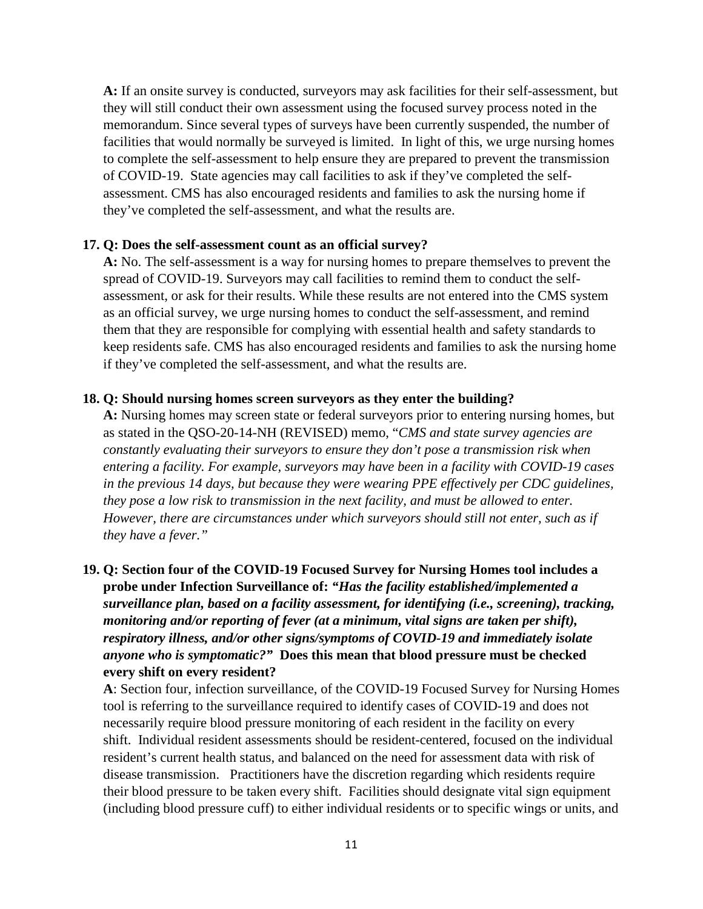**A:** If an onsite survey is conducted, surveyors may ask facilities for their self-assessment, but they will still conduct their own assessment using the focused survey process noted in the memorandum. Since several types of surveys have been currently suspended, the number of facilities that would normally be surveyed is limited. In light of this, we urge nursing homes to complete the self-assessment to help ensure they are prepared to prevent the transmission of COVID-19. State agencies may call facilities to ask if they've completed the selfassessment. CMS has also encouraged residents and families to ask the nursing home if they've completed the self-assessment, and what the results are.

#### **17. Q: Does the self-assessment count as an official survey?**

**A:** No. The self-assessment is a way for nursing homes to prepare themselves to prevent the spread of COVID-19. Surveyors may call facilities to remind them to conduct the selfassessment, or ask for their results. While these results are not entered into the CMS system as an official survey, we urge nursing homes to conduct the self-assessment, and remind them that they are responsible for complying with essential health and safety standards to keep residents safe. CMS has also encouraged residents and families to ask the nursing home if they've completed the self-assessment, and what the results are.

#### **18. Q: Should nursing homes screen surveyors as they enter the building?**

**A:** Nursing homes may screen state or federal surveyors prior to entering nursing homes, but as stated in the QSO-20-14-NH (REVISED) memo, "*CMS and state survey agencies are constantly evaluating their surveyors to ensure they don't pose a transmission risk when entering a facility. For example, surveyors may have been in a facility with COVID-19 cases in the previous 14 days, but because they were wearing PPE effectively per CDC guidelines, they pose a low risk to transmission in the next facility, and must be allowed to enter. However, there are circumstances under which surveyors should still not enter, such as if they have a fever."*

**19. Q: Section four of the COVID-19 Focused Survey for Nursing Homes tool includes a probe under Infection Surveillance of:** *"Has the facility established/implemented a surveillance plan, based on a facility assessment, for identifying (i.e., screening), tracking, monitoring and/or reporting of fever (at a minimum, vital signs are taken per shift), respiratory illness, and/or other signs/symptoms of COVID-19 and immediately isolate anyone who is symptomatic?"* **Does this mean that blood pressure must be checked every shift on every resident?**

**A**: Section four, infection surveillance, of the COVID-19 Focused Survey for Nursing Homes tool is referring to the surveillance required to identify cases of COVID-19 and does not necessarily require blood pressure monitoring of each resident in the facility on every shift. Individual resident assessments should be resident-centered, focused on the individual resident's current health status, and balanced on the need for assessment data with risk of disease transmission. Practitioners have the discretion regarding which residents require their blood pressure to be taken every shift. Facilities should designate vital sign equipment (including blood pressure cuff) to either individual residents or to specific wings or units, and